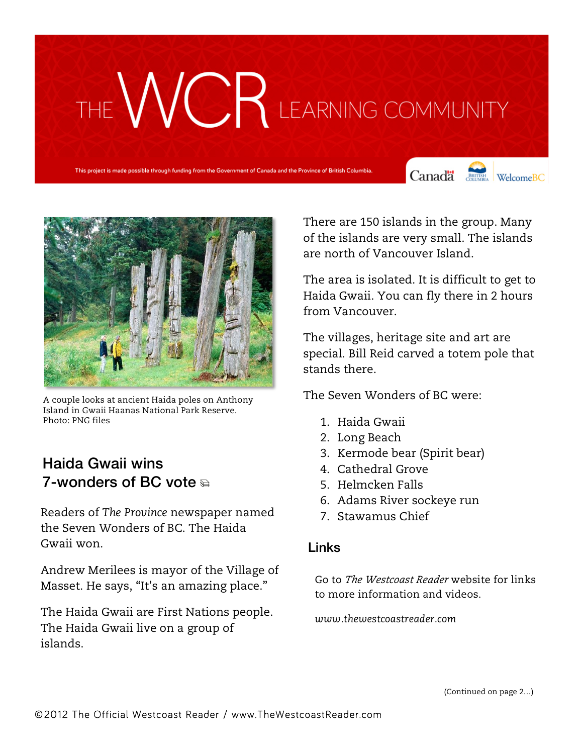## THE WURK LEARNING COMMUNITY

This project is made possible through funding from the Government of Canada and the Province of British Columbia.

Canada de WelcomeBC



A couple looks at ancient Haida poles on Anthony Island in Gwaii Haanas National Park Reserve. Photo: PNG files

## Haida Gwaii wins 7-wonders of BC vote  $\triangle$

Readers of *The Province* newspaper named the Seven Wonders of BC. The Haida Gwaii won.

Andrew Merilees is mayor of the Village of Masset. He says, "It's an amazing place."

The Haida Gwaii are First Nations people. The Haida Gwaii live on a group of islands.

There are 150 islands in the group. Many of the islands are very small. The islands are north of Vancouver Island.

The area is isolated. It is difficult to get to Haida Gwaii. You can fly there in 2 hours from Vancouver.

The villages, heritage site and art are special. Bill Reid carved a totem pole that stands there.

The Seven Wonders of BC were:

- 1. Haida Gwaii
- 2. Long Beach
- 3. Kermode bear (Spirit bear)
- 4. Cathedral Grove
- 5. Helmcken Falls
- 6. Adams River sockeye run
- 7. Stawamus Chief

#### Links

Go to *The Westcoast Reader* website for links to more information and videos.

*www.thewestcoastreader.com*

(Continued on page 2…)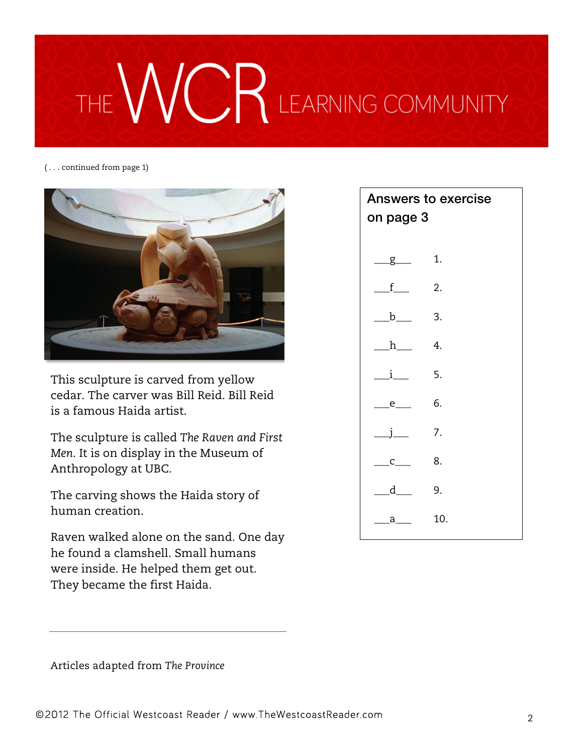# CR LEARNING COMMUNITY

( . . . continued from page 1)



This sculpture is carved from yellow cedar. The carver was Bill Reid. Bill Reid is a famous Haida artist.

The sculpture is called *The Raven and First Men*. It is on display in the Museum of Anthropology at UBC.

The carving shows the Haida story of human creation.

Raven walked alone on the sand. One day he found a clamshell. Small humans were inside. He helped them get out. They became the first Haida.

## Answers to exercise on page 3  $\Box$   $g$  1.  $f$  2.  $b$  3. h 4. \_\_\_i\_\_\_ 5. \_\_\_e\_\_\_ 6. \_\_\_j\_\_\_ 7.  $c$  8. \_\_\_d\_\_\_ 9. \_\_\_a\_\_\_ 10.

Articles adapted from *The Province*